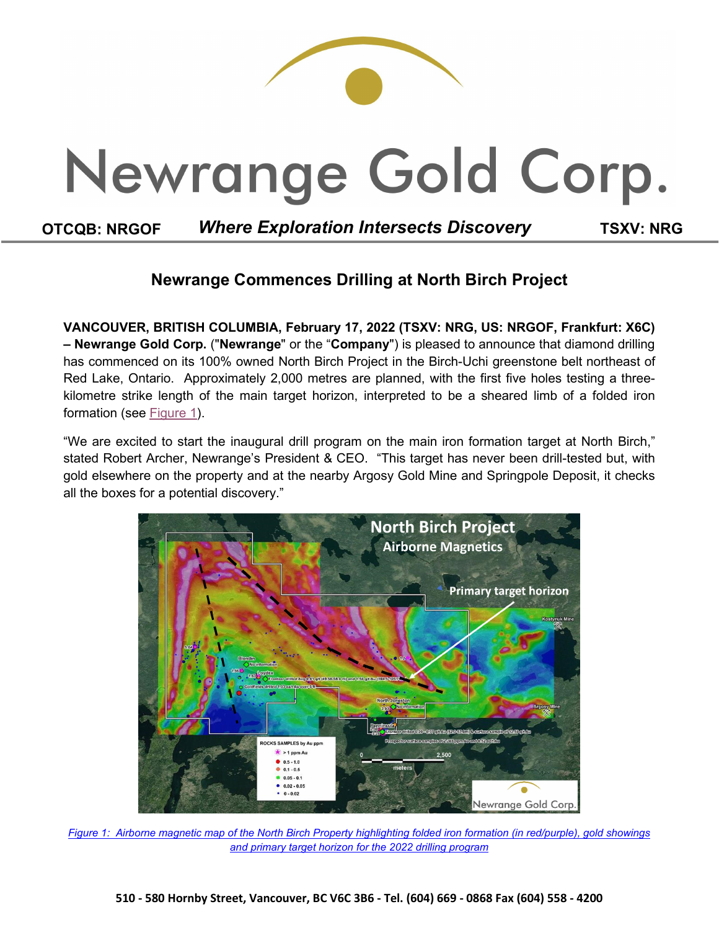

# **Newrange Commences Drilling at North Birch Project**

**VANCOUVER, BRITISH COLUMBIA, February 17, 2022 (TSXV: NRG, US: NRGOF, Frankfurt: X6C) – Newrange Gold Corp.** ("**Newrange**" or the "**Company**") is pleased to announce that diamond drilling has commenced on its 100% owned North Birch Project in the Birch-Uchi greenstone belt northeast of Red Lake, Ontario. Approximately 2,000 metres are planned, with the first five holes testing a threekilometre strike length of the main target horizon, interpreted to be a sheared limb of a folded iron formation (see [Figure 1\)](https://newrangegold.com/site/assets/files/4191/north_birch_target_map.png).

"We are excited to start the inaugural drill program on the main iron formation target at North Birch," stated Robert Archer, Newrange's President & CEO. "This target has never been drill-tested but, with gold elsewhere on the property and at the nearby Argosy Gold Mine and Springpole Deposit, it checks all the boxes for a potential discovery."



*[Figure 1: Airborne magnetic map of the North Birch Property highlighting folded](https://newrangegold.com/site/assets/files/4191/north_birch_target_map.png) iron formation (in red/purple), gold showings and primary [target horizon for the 2022 drilling program](https://newrangegold.com/site/assets/files/4191/north_birch_target_map.png)*